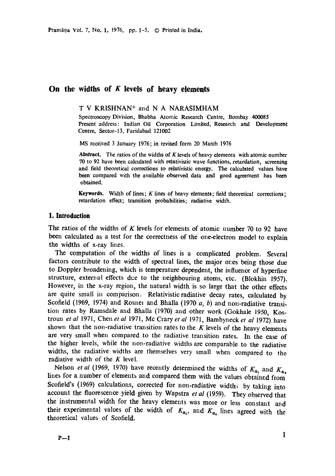# **On the widths of K levels of heavy elements**

T V KRISHNAN\* and N A NARASIMHAM

Spectroscopy Division, Bhabha Atomic Research Centre, Bombay 400085 Present address: Indian Oil Corporation Limited, Research and Development Centre, Sector-13, Faridabad 121002

MS received 3 January 1976; in revised form 20 March 1976

Abstract. The ratios of the widths of  $K$  levels of heavy elements with atomic number 70 to 92 have been calculated with relativistic wave functions, retardation, screening and field theoretical corrections to relativistic energy. The calculated values have been compared with the available observed data and good agreement has been obtained.

Keywords. Width of lines;  $K$  lines of heavy elements; field theoretical corrections; retardation effect; transition probabilities; radiative width.

## **1. Introduction**

The ratios of the widths of K levels for elements of atomic number 70 to 92 have been calculated as a test for the correctness of the one-electron model to explain the widths of x-ray lines.

The computation of the widths of lines is a complicated problem. Several factors contribute to the width of spectral lines, the major ores being those due to Doppler broadening, which is temperature dependent, the influence of hyperfme structure, external effects due to the neighbouring atoms, etc. (Blokhin 1957). However, in the x-ray region, the natural width is so large that the other effects are quite small in comparison. Relativistic radiative decay rates, calculated by Scofield (1969, 1974) and Rosnei and Bhalla (1970  $a$ ,  $b$ ) and non-radiative transition rates by Ramsdale and Bhalla (1970) and other work (Gokhale 1950, Kostroun *et al* 1971, Chen *et al* 1971, Mc Crary *et al* 1971, Bambyneck *et al* 1972) have shown that the non-radiative transition rates to the  $K$  levels of the heavy elements are very small when compared to the radiative transition rates. In the case of the higher levels, while the non-radiative widths are comparable to the radiative widths, the radiative widths are themselves very small when compared to the radiative width of the  $K$  level.

Nelson *et al* (1969, 1970) have recently determined the widths of  $K_{\alpha_1}$  and  $K_{\alpha_2}$ lines for a number of elements and compared them with the values obtained from Scofield's (1969) calculations, corrected for non-radiative widths by taking into account the fluorescence yield given by Wapstra *et al* (1959). They observed that the instrumental width for the heavy elements was more or less constant and their experimental values of the width of  $K_{a_1}$ , and  $K_{a_2}$  lines agreed with the theoretical values of Scofield.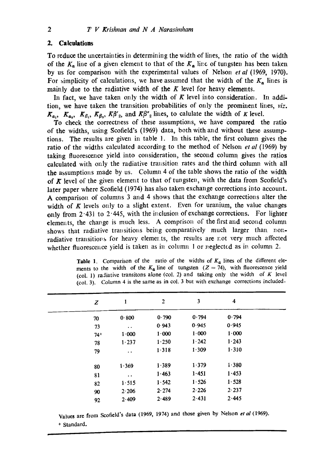## **2. Calculations**

To reduce the uncertainties in determining the width of lines, the ratio of the width of the  $K_a$  line of a given element to that of the  $K_a$  line of tungsten has been taken by us for comparison with the experimental values of Nelson *et al* (1969, 1970). For simplicity of calculations, we have assumed that the width of the  $K_n$  lines is mainly due to the radiative width of the  $K$  level for heavy elements.

In fact, we have taken only the width of  $K$  level into consideration. In addition, we have taken the transition probabilities of only the prominent lines, *viz.*   $K_{a_1}$ ,  $K_{a_2}$ ,  $K_{\beta_1}$ ,  $K_{\beta_2}$ ,  $K_{\beta_2}$ , and  $K_{\beta_2}$  lines, to calulate the width of K level.

To check the correctness of these assumptions, we have compared the ratio of the widths, using Scofield's (1969) data, both with and without these assumptions. The results are given in table 1. In this table, the first column gives the ratio of the widths calculated according to the method of Nelson *et al* (1969) by taking fluorescence yield into consideration, the second column gives the ratios calculated with only the radiative transition rates and the third column with all the assumptions made by us. Column 4 of the table shows the ratio of the width of  $K$  level of the given element to that of tungsten, with the data from Scofield's later paper where Scofield (1974) has also taken exchange corrections into account. A comparison of columns 3 and 4 shows that the exchange corrections alter the width of  $K$  levels only to a slight extent. Even for uranium, the value changes only from  $2.431$  to  $2.445$ , with the inclusion of exchange corrections. For lighter elements, the change is much less. A comprison of the first and second column shows that radiative transitions being comparatively much larger than nonradiative transitions for heavy elements, the results are not very much affected whether fluorescence yield is taken as in column 1 or neglected as in column 2.

| <b>Table 1.</b> Comparison of the ratio of the widths of $K_a$ lines of the different ele- |
|--------------------------------------------------------------------------------------------|
| ments to the width of the $K_a$ line of tungsten $(Z = 74)$ , with fluorescence yield      |
| (col. 1) radiative transitons alone (col. 2) and taking only the width of $K$ level        |
| (col. 3). Column 4 is the same as in col. 3 but with exchange corrections included.        |

| Z     | 1                    | $\overline{2}$ | 3         | 4         |  |  |  |
|-------|----------------------|----------------|-----------|-----------|--|--|--|
| 70    | 0.800                | 0.790          | 0.794     | 0.794     |  |  |  |
| 73    | $\ddot{\phantom{0}}$ | 0.943          | 0.945     | 0.945     |  |  |  |
| $74+$ | 1.000                | 1.000          | $1 - 000$ | $1 - 000$ |  |  |  |
| 78    | 1.237                | 1.250          | 1.242     | 1.243     |  |  |  |
| 79    | $\ddot{\phantom{0}}$ | 1.318          | 1.309     | 1.310     |  |  |  |
| 80    | 1.369                | 1.389          | 1.379     | 1.380     |  |  |  |
| 81    | $\ddot{\phantom{0}}$ | 1.463          | 1.451     | 1.453     |  |  |  |
| 82    | 1.515                | 1.542          | 1.526     | 1.528     |  |  |  |
| 90    | 2.206                | 2.274          | 2.226     | 2.237     |  |  |  |
| 92    | 2.409                | 2.489          | 2.431     | 2.445     |  |  |  |

Values are from Scofield's data (1969, 1974) and those given by Nelson *et al* (1969). + Standard.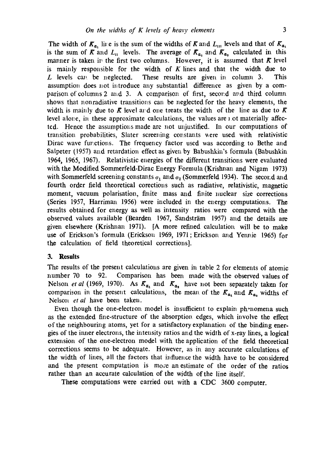The width of  $K_a$ , line is the sum of the widths of K and  $L_{xx}$  levels and that of  $K_{a}$ , is the sum of  $\overline{K}$  and  $L_{II}$  levels. The average of  $\overline{K}_{\alpha_1}$  and  $\overline{K}_{\alpha_2}$  calculated in this manner is taken in the first two columns. However, it is assumed that  $K$  level is mainly responsible for the width of  $K$  lines and that the width due to  $L$  levels can be neglected. These results are given in column 3. This assumption does not introduce any substantial difference as given by a comparison of columns 2 and 3. A comparison of first, second and third column shows that nonradiative transitions can be neglected for the heavy elements, the width is mainly due to  $\bar{K}$  level ard one treats the width of the line as due to  $\bar{K}$ level alone, in these approximate calculations, the values are  $\alpha$  ot materially affected. Hence the assumptions made are not unjustified. In our computations of transition probabilities, Slater screening constants were used with relativistic Dirac wave functions. The frequency factor used was according to Bethe and Salpeter (1957) and retardation effect as given by Babushkin's formula (Babushkin 1964, 1965, 1967). Relativistic energies of the different transitions were evaluated with the Modified Sommerfeld-Dirac Energy Formula (Krishnan and Nigam 1973) with Sommerfeld screening constants  $\sigma_1$  and  $\sigma_2$  (Sommerfeld 1934). The second and fourth order field theoretical corections such as radiative, relativistic, magnetic moment, vacuum polarisation, finite mass and finite nuclear size corrections (Series 1957, Harriman 1956) were included in the energy computations. The results obtained for energy as well as intensity ratios were compared with the observed values available (Bearden 1967, Sandsträm 1957) and the details are given elsewhere (Krishnan 1971). [A more refined calculation will be to make use of Erickson's formula (Erickson 1969, 1971;Erickson and Yermie 1965) for the calculation of field theoretical corrections].

### **3. Results**

The results of the present calculations are given in table 2 for elements of atomic number 70 to 92. Comparison has been made with the observed values of Nelson *et al* (1969, 1970). As  $K_{\alpha_1}$  and  $K_{\alpha_2}$  have not been separately taken for comparison in the present calculations, the mean of the  $K_{a_1}$  and  $K_{a_2}$  widths of Nelson *et al* have been taken.

Even though the one-electron model is insufficient to explain phenomena such as the extended fine-structure of the absorption edges, which involve the effect of the neighbouring atoms, yet for a satisfactory explanation of the binding energies of the inner electrons, the intensity ratios and the width of x-ray lines, a logical extension of the one-electron model with the application of the field theoretical corrections seems to be adequate. However, as in any accurate calculations of the width of lines, all the factors that influence the width have to be considered and the present computation is mo;e an estimate of the order of the ratios rather than an accurate calculation of the width of the line itself.

**These** computations were carried out with a CDC 3600 computer.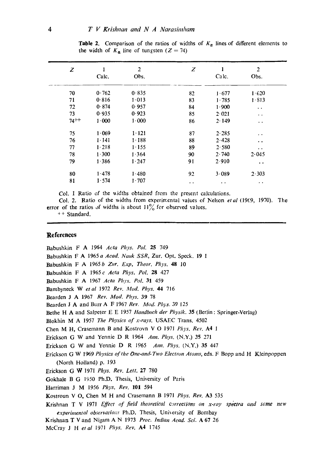| Z         |           | 2         | Z                    |                      | $\overline{c}$       |
|-----------|-----------|-----------|----------------------|----------------------|----------------------|
|           | Calc.     | Obs.      |                      | Calc.                | Obs.                 |
| 70        | 0.762     | 0.835     | 82                   | 1.677                | 1.620                |
| 71        | 0.816     | 1.013     | 83                   | 1.785                | 1.813                |
| 72        | 0.874     | 0.957     | 84                   | 1.900                | $\ddot{\phantom{0}}$ |
| 73        | 0.935     | 0.923     | 85                   | 2.021                | $\ddot{\phantom{0}}$ |
| $74^{++}$ | 1.000     | 1.000     | 86                   | 2.149                | $\ddot{\phantom{a}}$ |
| 75        | 1.069     | 1.121     | 87                   | 2.285                | $\ddot{\phantom{0}}$ |
| 76        | $1 - 141$ | $1 - 188$ | 88                   | 2.428                | $\ddot{\phantom{0}}$ |
| 77        | 1.218     | $1 - 155$ | 89                   | 2.580                | $\ddot{\phantom{0}}$ |
| 78        | 1.300     | 1.364     | 90                   | 2.740                | 2.045                |
| 79        | 1.386     | 1.247     | 91                   | 2.910                | $\bullet$ $\bullet$  |
| 80        | 1.478     | 1.480     | 92                   | 3.089                | 2.303                |
| 81        | 1.574     | 1.707     | $\ddot{\phantom{0}}$ | $\ddot{\phantom{0}}$ | $\ddot{\phantom{1}}$ |

**Table 2.** Comparison of the ratios of widths of  $K_{\alpha}$  lines of different elements to the width of  $K_a$  line of tungsten  $(Z = 74)$ 

Col. 1 Ratio of the widths obtained from the present calculations.

Col. 2. Ratio of the widths from experimental values of Nelson et al (1969, 1970). The error of the ratios of widths is about  $11\%$  for observed values.

++ Standard.

### **References**

Babushkin F A 1964 Acta Phys. Pol. 25 749 Babushkin F A 1965 a Acad. Nauk SSR, Zur. Opt. Speck. 19 1 Babushkin F A 1965 b Zur. Exp. Theor. Phys. 48 10 Babushkin F A 1965 c Acta Phys. Pol. 28 427 Babushkin F A 1967 Acta Phys. Pol. 31 459 Bambyneck W et al 1972 Rev. Mod. Phys. 44 716 Bearden J A 1967 Rev. Mod. Phys. 39 78 Bearden J A and Burr A F 1967 Rev. Mod. Phys. 39 125 Bethe H A and Salpeter E E 1957 Handbuch der Physik. 35 (Berlin: Springer-Verlag) Blokhin M A 1957 The Physics of x-rays. USAEC Trans. 4502 Chen M H, Crasemann B and Kostrovn V O 1971 Phys. Rev. A4 1 Erickson G W and Yennie D R 1964 Ann. Phys. (N.Y.) 35 271 Erickson G W and Yennie D R 1965 Ann. Phys. (N.Y.) 35 447 Erickson G W 1969 Physics of the One-and-Two Electron Atoms, eds. F Bopp and H Kleinpoppen (North Holland) p. 193 Erickson G W 1971 Phys. Rev. Lett. 27 780 Gokhale B G 1950 Ph.D. Thesis, University of Paris Harriman J M 1956 Phys. Rev. 101 594 Kostroun V O, Chen M H and Crasemann B 1971 Phys. Rev. A3 535 **Krishnan T V 1971 Effect of field theoretical corrections on x-ray spectra and some new** experimental observations Ph.D. Thesis, University of Bombay Krishnan T V and Nigam A N 1973 Proc. Indian Acad. Sci. A 67 26 McCray J H et al 1971 Phys. Rev. A4 1745